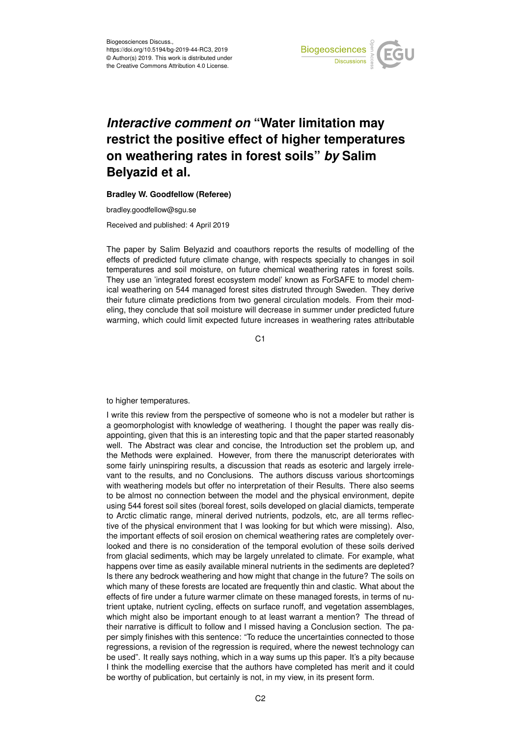

## *Interactive comment on* **"Water limitation may restrict the positive effect of higher temperatures on weathering rates in forest soils"** *by* **Salim Belyazid et al.**

## **Bradley W. Goodfellow (Referee)**

bradley.goodfellow@sgu.se

Received and published: 4 April 2019

The paper by Salim Belyazid and coauthors reports the results of modelling of the effects of predicted future climate change, with respects specially to changes in soil temperatures and soil moisture, on future chemical weathering rates in forest soils. They use an 'integrated forest ecosystem model' known as ForSAFE to model chemical weathering on 544 managed forest sites distruted through Sweden. They derive their future climate predictions from two general circulation models. From their modeling, they conclude that soil moisture will decrease in summer under predicted future warming, which could limit expected future increases in weathering rates attributable

C<sub>1</sub>

to higher temperatures.

I write this review from the perspective of someone who is not a modeler but rather is a geomorphologist with knowledge of weathering. I thought the paper was really disappointing, given that this is an interesting topic and that the paper started reasonably well. The Abstract was clear and concise, the Introduction set the problem up, and the Methods were explained. However, from there the manuscript deteriorates with some fairly uninspiring results, a discussion that reads as esoteric and largely irrelevant to the results, and no Conclusions. The authors discuss various shortcomings with weathering models but offer no interpretation of their Results. There also seems to be almost no connection between the model and the physical environment, depite using 544 forest soil sites (boreal forest, soils developed on glacial diamicts, temperate to Arctic climatic range, mineral derived nutrients, podzols, etc, are all terms reflective of the physical environment that I was looking for but which were missing). Also, the important effects of soil erosion on chemical weathering rates are completely overlooked and there is no consideration of the temporal evolution of these soils derived from glacial sediments, which may be largely unrelated to climate. For example, what happens over time as easily available mineral nutrients in the sediments are depleted? Is there any bedrock weathering and how might that change in the future? The soils on which many of these forests are located are frequently thin and clastic. What about the effects of fire under a future warmer climate on these managed forests, in terms of nutrient uptake, nutrient cycling, effects on surface runoff, and vegetation assemblages, which might also be important enough to at least warrant a mention? The thread of their narrative is difficult to follow and I missed having a Conclusion section. The paper simply finishes with this sentence: "To reduce the uncertainties connected to those regressions, a revision of the regression is required, where the newest technology can be used". It really says nothing, which in a way sums up this paper. It's a pity because I think the modelling exercise that the authors have completed has merit and it could be worthy of publication, but certainly is not, in my view, in its present form.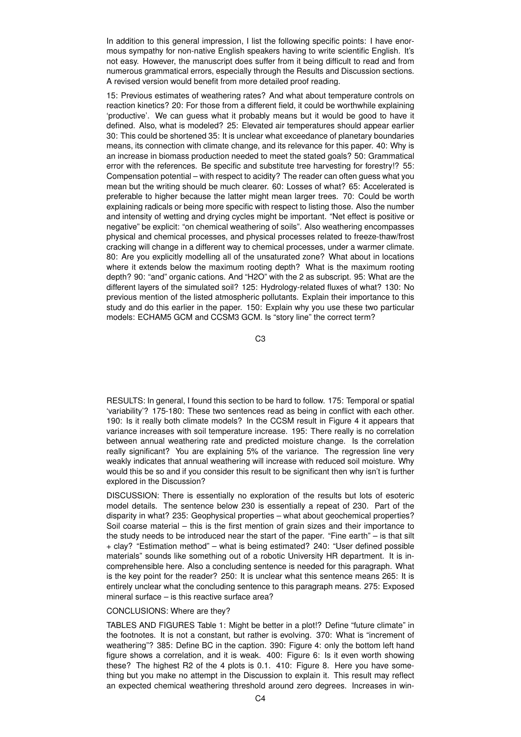In addition to this general impression, I list the following specific points: I have enormous sympathy for non-native English speakers having to write scientific English. It's not easy. However, the manuscript does suffer from it being difficult to read and from numerous grammatical errors, especially through the Results and Discussion sections. A revised version would benefit from more detailed proof reading.

15: Previous estimates of weathering rates? And what about temperature controls on reaction kinetics? 20: For those from a different field, it could be worthwhile explaining 'productive'. We can guess what it probably means but it would be good to have it defined. Also, what is modeled? 25: Elevated air temperatures should appear earlier 30: This could be shortened 35: It is unclear what exceedance of planetary boundaries means, its connection with climate change, and its relevance for this paper. 40: Why is an increase in biomass production needed to meet the stated goals? 50: Grammatical error with the references. Be specific and substitute tree harvesting for forestry!? 55: Compensation potential – with respect to acidity? The reader can often guess what you mean but the writing should be much clearer. 60: Losses of what? 65: Accelerated is preferable to higher because the latter might mean larger trees. 70: Could be worth explaining radicals or being more specific with respect to listing those. Also the number and intensity of wetting and drying cycles might be important. "Net effect is positive or negative" be explicit: "on chemical weathering of soils". Also weathering encompasses physical and chemical processes, and physical processes related to freeze-thaw/frost cracking will change in a different way to chemical processes, under a warmer climate. 80: Are you explicitly modelling all of the unsaturated zone? What about in locations where it extends below the maximum rooting depth? What is the maximum rooting depth? 90: "and" organic cations. And "H2O" with the 2 as subscript. 95: What are the different layers of the simulated soil? 125: Hydrology-related fluxes of what? 130: No previous mention of the listed atmospheric pollutants. Explain their importance to this study and do this earlier in the paper. 150: Explain why you use these two particular models: ECHAM5 GCM and CCSM3 GCM. Is "story line" the correct term?

C3

RESULTS: In general, I found this section to be hard to follow. 175: Temporal or spatial 'variability'? 175-180: These two sentences read as being in conflict with each other. 190: Is it really both climate models? In the CCSM result in Figure 4 it appears that variance increases with soil temperature increase. 195: There really is no correlation between annual weathering rate and predicted moisture change. Is the correlation really significant? You are explaining 5% of the variance. The regression line very weakly indicates that annual weathering will increase with reduced soil moisture. Why would this be so and if you consider this result to be significant then why isn't is further explored in the Discussion?

DISCUSSION: There is essentially no exploration of the results but lots of esoteric model details. The sentence below 230 is essentially a repeat of 230. Part of the disparity in what? 235: Geophysical properties – what about geochemical properties? Soil coarse material – this is the first mention of grain sizes and their importance to the study needs to be introduced near the start of the paper. "Fine earth" – is that silt + clay? "Estimation method" – what is being estimated? 240: "User defined possible materials" sounds like something out of a robotic University HR department. It is incomprehensible here. Also a concluding sentence is needed for this paragraph. What is the key point for the reader? 250: It is unclear what this sentence means 265: It is entirely unclear what the concluding sentence to this paragraph means. 275: Exposed mineral surface – is this reactive surface area?

## CONCLUSIONS: Where are they?

TABLES AND FIGURES Table 1: Might be better in a plot!? Define "future climate" in the footnotes. It is not a constant, but rather is evolving. 370: What is "increment of weathering"? 385: Define BC in the caption. 390: Figure 4: only the bottom left hand figure shows a correlation, and it is weak. 400: Figure 6: Is it even worth showing these? The highest R2 of the 4 plots is 0.1. 410: Figure 8. Here you have something but you make no attempt in the Discussion to explain it. This result may reflect an expected chemical weathering threshold around zero degrees. Increases in win